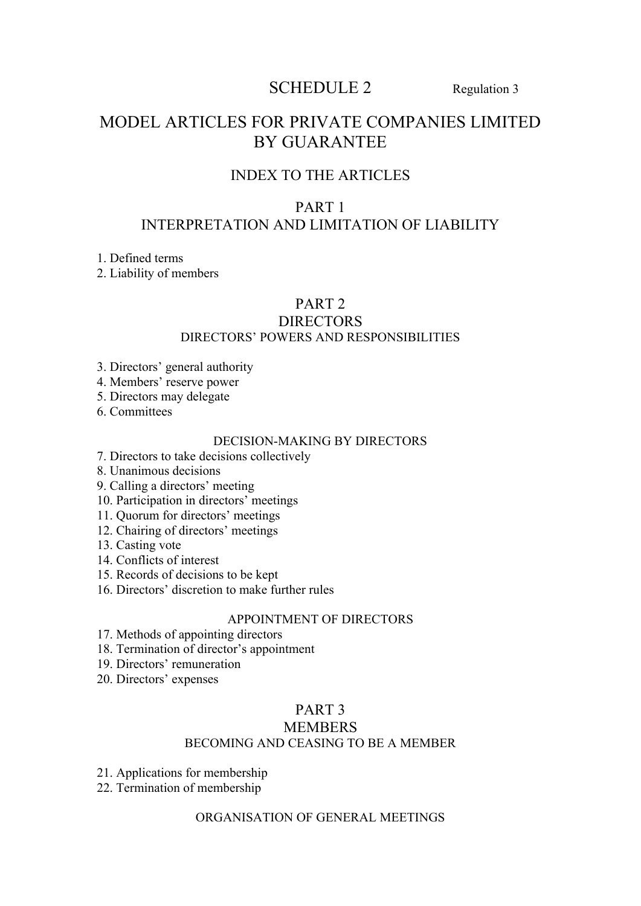# SCHEDULE 2 Regulation 3

# MODEL ARTICLES FOR PRIVATE COMPANIES LIMITED BY GUARANTEE

# INDEX TO THE ARTICLES

# PART 1 INTERPRETATION AND LIMITATION OF LIABILITY

1. Defined terms

2. Liability of members

# PART 2

#### DIRECTORS DIRECTORS' POWERS AND RESPONSIBILITIES

- 3. Directors' general authority
- 4. Members' reserve power
- 5. Directors may delegate
- 6. Committees

#### DECISION-MAKING BY DIRECTORS

- 7. Directors to take decisions collectively
- 8. Unanimous decisions
- 9. Calling a directors' meeting
- 10. Participation in directors' meetings
- 11. Quorum for directors' meetings
- 12. Chairing of directors' meetings
- 13. Casting vote
- 14. Conflicts of interest
- 15. Records of decisions to be kept
- 16. Directors' discretion to make further rules

## APPOINTMENT OF DIRECTORS

- 17. Methods of appointing directors
- 18. Termination of director's appointment
- 19. Directors' remuneration
- 20. Directors' expenses

## PART 3

#### **MEMBERS**

#### BECOMING AND CEASING TO BE A MEMBER

- 21. Applications for membership
- 22. Termination of membership

## ORGANISATION OF GENERAL MEETINGS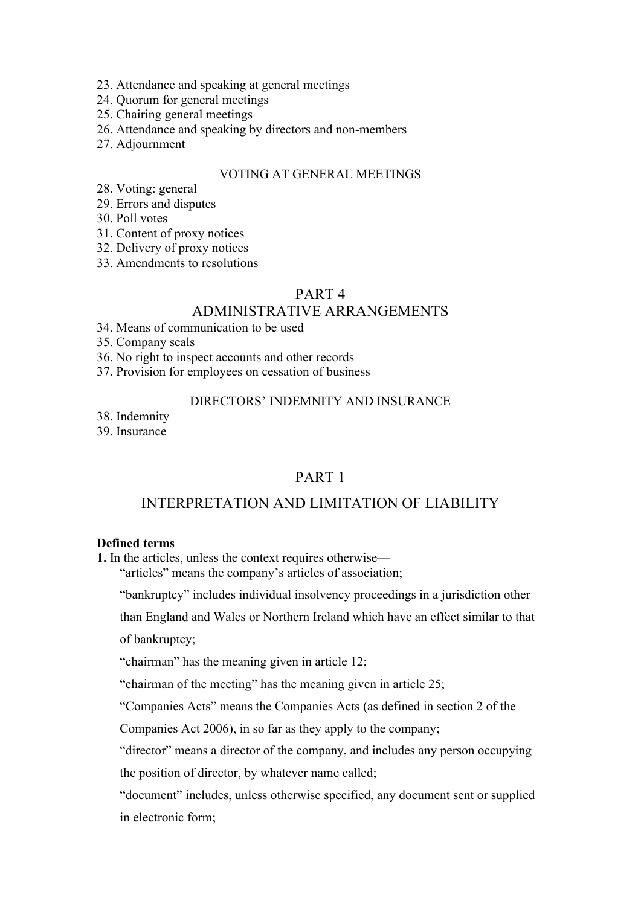- 23. Attendance and speaking at general meetings
- 24. Quorum for general meetings
- 25. Chairing general meetings
- 26. Attendance and speaking by directors and non-members
- 27. Adjournment

#### VOTING AT GENERAL MEETINGS

- 28. Voting: general
- 29. Errors and disputes
- 30. Poll votes
- 31. Content of proxy notices
- 32. Delivery of proxy notices
- 33. Amendments to resolutions

#### PART 4

## ADMINISTRATIVE ARRANGEMENTS

34. Means of communication to be used

35. Company seals

- 36. No right to inspect accounts and other records
- 37. Provision for employees on cessation of business

#### DIRECTORS' INDEMNITY AND INSURANCE

38. Indemnity

39. Insurance

# PART 1

# INTERPRETATION AND LIMITATION OF LIABILITY

#### **Defined terms**

**1.** In the articles, unless the context requires otherwise—

"articles" means the company's articles of association;

"bankruptcy" includes individual insolvency proceedings in a jurisdiction other

than England and Wales or Northern Ireland which have an effect similar to that

of bankruptcy;

"chairman" has the meaning given in article 12;

"chairman of the meeting" has the meaning given in article 25;

"Companies Acts" means the Companies Acts (as defined in section 2 of the

Companies Act 2006), in so far as they apply to the company;

"director" means a director of the company, and includes any person occupying the position of director, by whatever name called;

"document" includes, unless otherwise specified, any document sent or supplied in electronic form;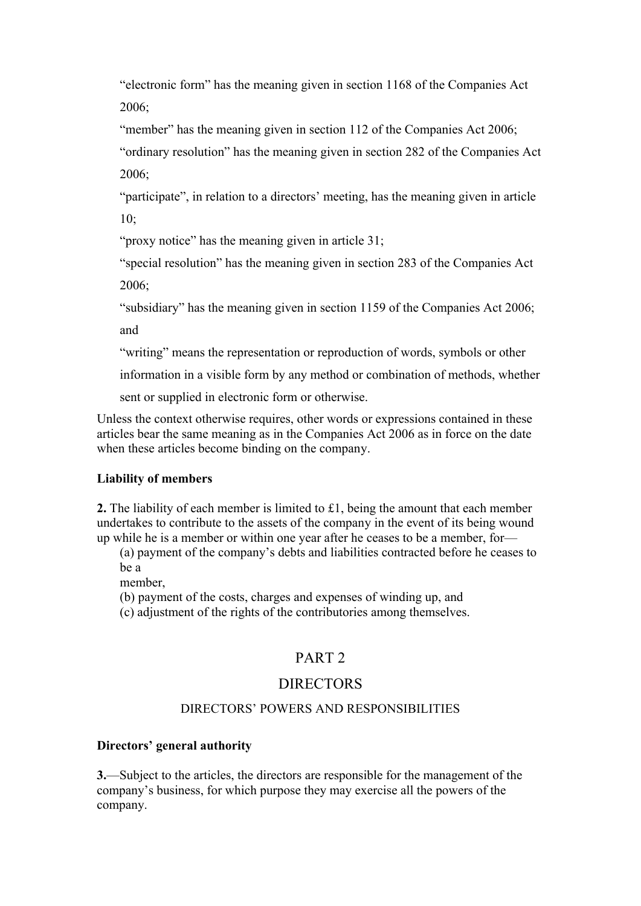"electronic form" has the meaning given in section 1168 of the Companies Act 2006;

"member" has the meaning given in section 112 of the Companies Act 2006;

"ordinary resolution" has the meaning given in section 282 of the Companies Act 2006;

"participate", in relation to a directors' meeting, has the meaning given in article 10;

"proxy notice" has the meaning given in article 31;

"special resolution" has the meaning given in section 283 of the Companies Act 2006;

"subsidiary" has the meaning given in section 1159 of the Companies Act 2006; and

"writing" means the representation or reproduction of words, symbols or other

information in a visible form by any method or combination of methods, whether

sent or supplied in electronic form or otherwise.

Unless the context otherwise requires, other words or expressions contained in these articles bear the same meaning as in the Companies Act 2006 as in force on the date when these articles become binding on the company.

#### **Liability of members**

**2.** The liability of each member is limited to £1, being the amount that each member undertakes to contribute to the assets of the company in the event of its being wound up while he is a member or within one year after he ceases to be a member, for—

(a) payment of the company's debts and liabilities contracted before he ceases to be a

member,

(b) payment of the costs, charges and expenses of winding up, and

(c) adjustment of the rights of the contributories among themselves.

## PART 2

## **DIRECTORS**

#### DIRECTORS' POWERS AND RESPONSIBILITIES

## **Directors' general authority**

**3.**—Subject to the articles, the directors are responsible for the management of the company's business, for which purpose they may exercise all the powers of the company.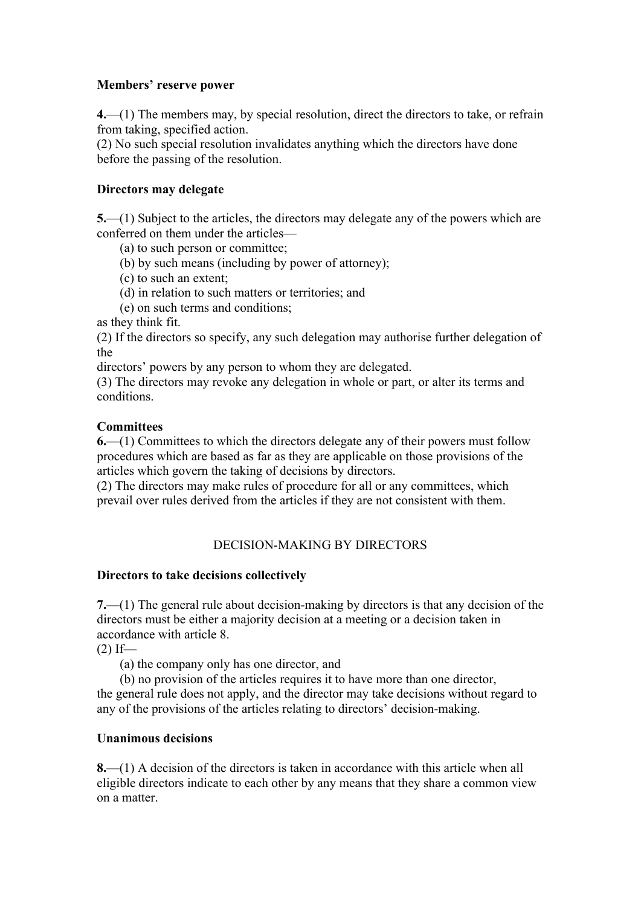#### **Members' reserve power**

**4.**—(1) The members may, by special resolution, direct the directors to take, or refrain from taking, specified action.

(2) No such special resolution invalidates anything which the directors have done before the passing of the resolution.

### **Directors may delegate**

**5.**—(1) Subject to the articles, the directors may delegate any of the powers which are conferred on them under the articles—

(a) to such person or committee;

(b) by such means (including by power of attorney);

(c) to such an extent;

(d) in relation to such matters or territories; and

(e) on such terms and conditions;

as they think fit.

(2) If the directors so specify, any such delegation may authorise further delegation of the

directors' powers by any person to whom they are delegated.

(3) The directors may revoke any delegation in whole or part, or alter its terms and conditions.

#### **Committees**

**6.**—(1) Committees to which the directors delegate any of their powers must follow procedures which are based as far as they are applicable on those provisions of the articles which govern the taking of decisions by directors.

(2) The directors may make rules of procedure for all or any committees, which prevail over rules derived from the articles if they are not consistent with them.

## DECISION-MAKING BY DIRECTORS

#### **Directors to take decisions collectively**

**7.**—(1) The general rule about decision-making by directors is that any decision of the directors must be either a majority decision at a meeting or a decision taken in accordance with article 8.

 $(2)$  If—

(a) the company only has one director, and

(b) no provision of the articles requires it to have more than one director, the general rule does not apply, and the director may take decisions without regard to any of the provisions of the articles relating to directors' decision-making.

#### **Unanimous decisions**

**8.**—(1) A decision of the directors is taken in accordance with this article when all eligible directors indicate to each other by any means that they share a common view on a matter.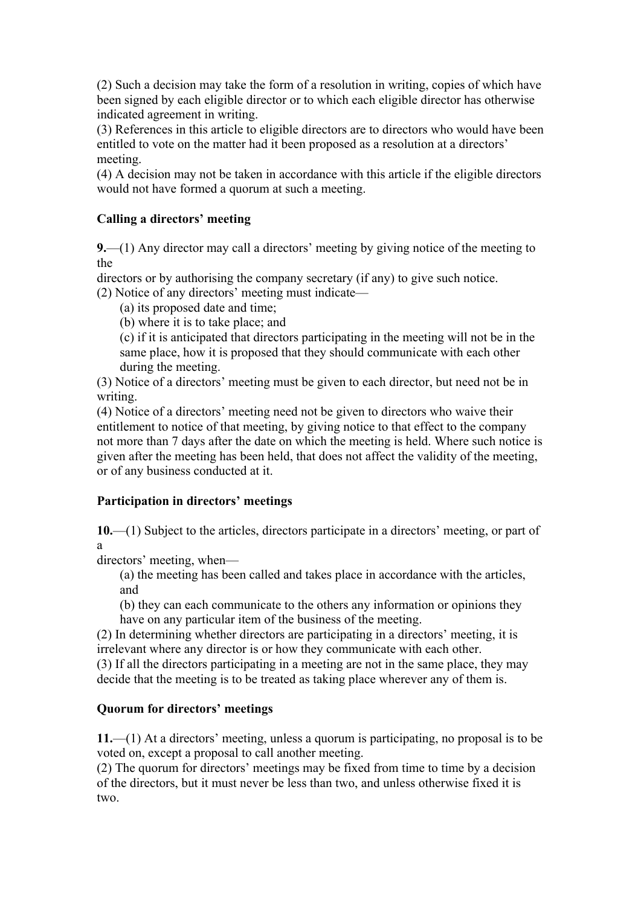(2) Such a decision may take the form of a resolution in writing, copies of which have been signed by each eligible director or to which each eligible director has otherwise indicated agreement in writing.

(3) References in this article to eligible directors are to directors who would have been entitled to vote on the matter had it been proposed as a resolution at a directors' meeting.

(4) A decision may not be taken in accordance with this article if the eligible directors would not have formed a quorum at such a meeting.

## **Calling a directors' meeting**

**9.**—(1) Any director may call a directors' meeting by giving notice of the meeting to the

directors or by authorising the company secretary (if any) to give such notice.

(2) Notice of any directors' meeting must indicate—

(a) its proposed date and time;

(b) where it is to take place; and

(c) if it is anticipated that directors participating in the meeting will not be in the same place, how it is proposed that they should communicate with each other during the meeting.

(3) Notice of a directors' meeting must be given to each director, but need not be in writing.

(4) Notice of a directors' meeting need not be given to directors who waive their entitlement to notice of that meeting, by giving notice to that effect to the company not more than 7 days after the date on which the meeting is held. Where such notice is given after the meeting has been held, that does not affect the validity of the meeting, or of any business conducted at it.

## **Participation in directors' meetings**

**10.**—(1) Subject to the articles, directors participate in a directors' meeting, or part of a

directors' meeting, when—

(a) the meeting has been called and takes place in accordance with the articles, and

(b) they can each communicate to the others any information or opinions they have on any particular item of the business of the meeting.

(2) In determining whether directors are participating in a directors' meeting, it is irrelevant where any director is or how they communicate with each other. (3) If all the directors participating in a meeting are not in the same place, they may

decide that the meeting is to be treated as taking place wherever any of them is.

## **Quorum for directors' meetings**

**11.**—(1) At a directors' meeting, unless a quorum is participating, no proposal is to be voted on, except a proposal to call another meeting.

(2) The quorum for directors' meetings may be fixed from time to time by a decision of the directors, but it must never be less than two, and unless otherwise fixed it is two.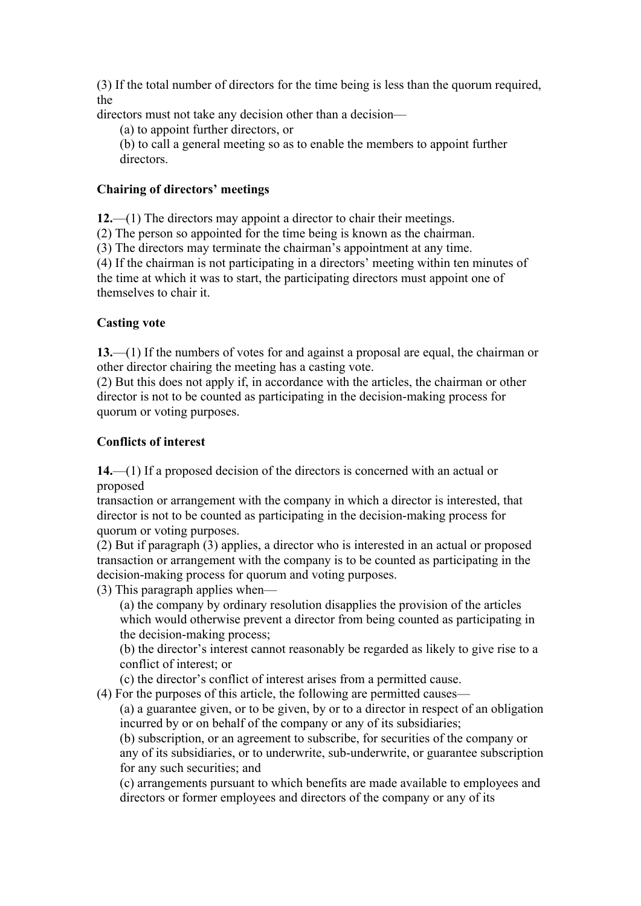(3) If the total number of directors for the time being is less than the quorum required, the

directors must not take any decision other than a decision—

(a) to appoint further directors, or

(b) to call a general meeting so as to enable the members to appoint further directors.

#### **Chairing of directors' meetings**

**12.**—(1) The directors may appoint a director to chair their meetings.

(2) The person so appointed for the time being is known as the chairman.

(3) The directors may terminate the chairman's appointment at any time.

(4) If the chairman is not participating in a directors' meeting within ten minutes of the time at which it was to start, the participating directors must appoint one of themselves to chair it.

#### **Casting vote**

**13.**—(1) If the numbers of votes for and against a proposal are equal, the chairman or other director chairing the meeting has a casting vote.

(2) But this does not apply if, in accordance with the articles, the chairman or other director is not to be counted as participating in the decision-making process for quorum or voting purposes.

#### **Conflicts of interest**

**14.**—(1) If a proposed decision of the directors is concerned with an actual or proposed

transaction or arrangement with the company in which a director is interested, that director is not to be counted as participating in the decision-making process for quorum or voting purposes.

(2) But if paragraph (3) applies, a director who is interested in an actual or proposed transaction or arrangement with the company is to be counted as participating in the decision-making process for quorum and voting purposes.

(3) This paragraph applies when—

(a) the company by ordinary resolution disapplies the provision of the articles which would otherwise prevent a director from being counted as participating in the decision-making process;

(b) the director's interest cannot reasonably be regarded as likely to give rise to a conflict of interest; or

(c) the director's conflict of interest arises from a permitted cause.

(4) For the purposes of this article, the following are permitted causes—

(a) a guarantee given, or to be given, by or to a director in respect of an obligation incurred by or on behalf of the company or any of its subsidiaries;

(b) subscription, or an agreement to subscribe, for securities of the company or any of its subsidiaries, or to underwrite, sub-underwrite, or guarantee subscription for any such securities; and

(c) arrangements pursuant to which benefits are made available to employees and directors or former employees and directors of the company or any of its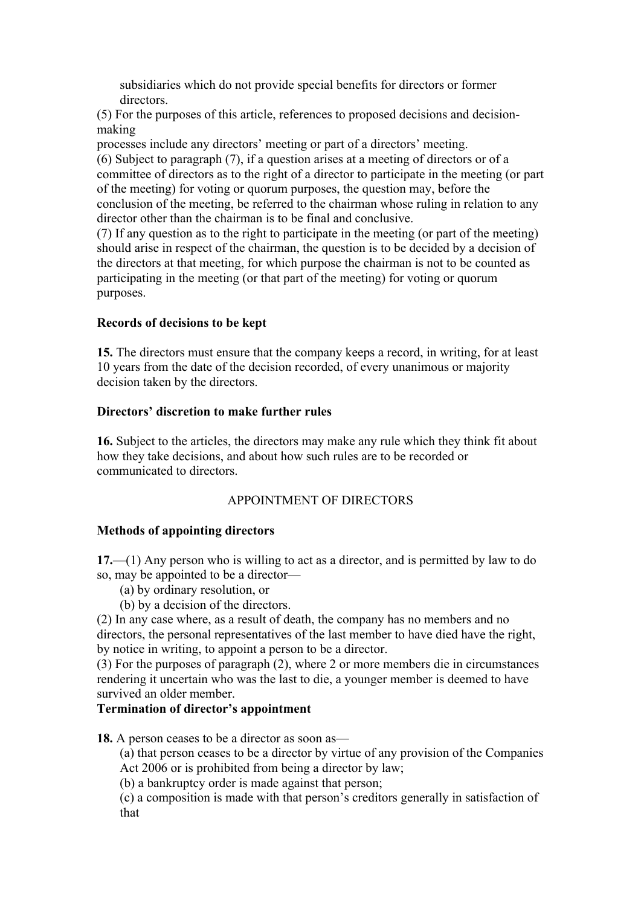subsidiaries which do not provide special benefits for directors or former directors.

(5) For the purposes of this article, references to proposed decisions and decisionmaking

processes include any directors' meeting or part of a directors' meeting.

(6) Subject to paragraph (7), if a question arises at a meeting of directors or of a committee of directors as to the right of a director to participate in the meeting (or part of the meeting) for voting or quorum purposes, the question may, before the conclusion of the meeting, be referred to the chairman whose ruling in relation to any director other than the chairman is to be final and conclusive.

(7) If any question as to the right to participate in the meeting (or part of the meeting) should arise in respect of the chairman, the question is to be decided by a decision of the directors at that meeting, for which purpose the chairman is not to be counted as participating in the meeting (or that part of the meeting) for voting or quorum purposes.

## **Records of decisions to be kept**

**15.** The directors must ensure that the company keeps a record, in writing, for at least 10 years from the date of the decision recorded, of every unanimous or majority decision taken by the directors.

## **Directors' discretion to make further rules**

**16.** Subject to the articles, the directors may make any rule which they think fit about how they take decisions, and about how such rules are to be recorded or communicated to directors.

## APPOINTMENT OF DIRECTORS

## **Methods of appointing directors**

**17.**—(1) Any person who is willing to act as a director, and is permitted by law to do so, may be appointed to be a director—

(a) by ordinary resolution, or

(b) by a decision of the directors.

(2) In any case where, as a result of death, the company has no members and no directors, the personal representatives of the last member to have died have the right, by notice in writing, to appoint a person to be a director.

(3) For the purposes of paragraph (2), where 2 or more members die in circumstances rendering it uncertain who was the last to die, a younger member is deemed to have survived an older member.

## **Termination of director's appointment**

**18.** A person ceases to be a director as soon as—

(a) that person ceases to be a director by virtue of any provision of the Companies Act 2006 or is prohibited from being a director by law;

(b) a bankruptcy order is made against that person;

(c) a composition is made with that person's creditors generally in satisfaction of that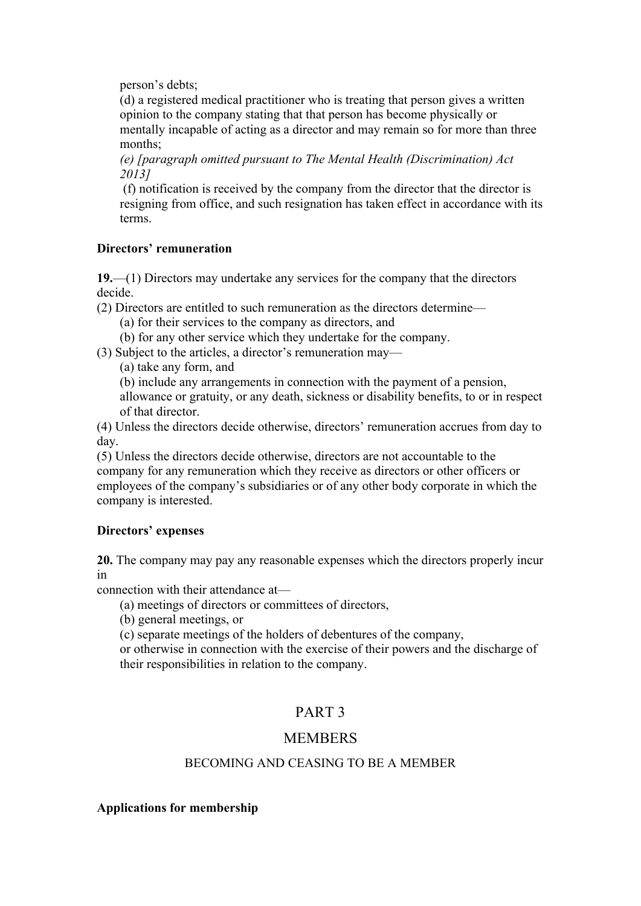person's debts;

(d) a registered medical practitioner who is treating that person gives a written opinion to the company stating that that person has become physically or mentally incapable of acting as a director and may remain so for more than three months;

*(e) [paragraph omitted pursuant to The Mental Health (Discrimination) Act 2013]*

(f) notification is received by the company from the director that the director is resigning from office, and such resignation has taken effect in accordance with its terms.

## **Directors' remuneration**

**19.**—(1) Directors may undertake any services for the company that the directors decide.

(2) Directors are entitled to such remuneration as the directors determine—

(a) for their services to the company as directors, and

(b) for any other service which they undertake for the company.

(3) Subject to the articles, a director's remuneration may—

(a) take any form, and

(b) include any arrangements in connection with the payment of a pension, allowance or gratuity, or any death, sickness or disability benefits, to or in respect of that director.

(4) Unless the directors decide otherwise, directors' remuneration accrues from day to day.

(5) Unless the directors decide otherwise, directors are not accountable to the company for any remuneration which they receive as directors or other officers or employees of the company's subsidiaries or of any other body corporate in which the company is interested.

## **Directors' expenses**

**20.** The company may pay any reasonable expenses which the directors properly incur in

connection with their attendance at—

(a) meetings of directors or committees of directors,

(b) general meetings, or

(c) separate meetings of the holders of debentures of the company,

or otherwise in connection with the exercise of their powers and the discharge of their responsibilities in relation to the company.

# PART 3

## **MEMBERS**

## BECOMING AND CEASING TO BE A MEMBER

## **Applications for membership**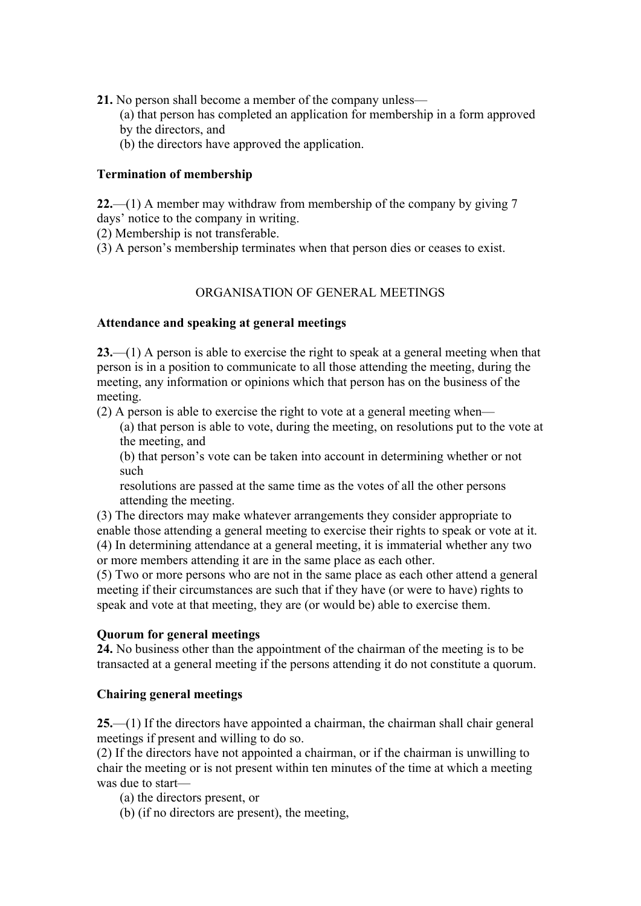- **21.** No person shall become a member of the company unless—
	- (a) that person has completed an application for membership in a form approved
	- by the directors, and
	- (b) the directors have approved the application.

#### **Termination of membership**

**22.**—(1) A member may withdraw from membership of the company by giving 7 days' notice to the company in writing.

(2) Membership is not transferable.

(3) A person's membership terminates when that person dies or ceases to exist.

#### ORGANISATION OF GENERAL MEETINGS

#### **Attendance and speaking at general meetings**

**23.**—(1) A person is able to exercise the right to speak at a general meeting when that person is in a position to communicate to all those attending the meeting, during the meeting, any information or opinions which that person has on the business of the meeting.

(2) A person is able to exercise the right to vote at a general meeting when—

(a) that person is able to vote, during the meeting, on resolutions put to the vote at the meeting, and

(b) that person's vote can be taken into account in determining whether or not such

resolutions are passed at the same time as the votes of all the other persons attending the meeting.

(3) The directors may make whatever arrangements they consider appropriate to enable those attending a general meeting to exercise their rights to speak or vote at it. (4) In determining attendance at a general meeting, it is immaterial whether any two or more members attending it are in the same place as each other.

(5) Two or more persons who are not in the same place as each other attend a general meeting if their circumstances are such that if they have (or were to have) rights to speak and vote at that meeting, they are (or would be) able to exercise them.

#### **Quorum for general meetings**

**24.** No business other than the appointment of the chairman of the meeting is to be transacted at a general meeting if the persons attending it do not constitute a quorum.

## **Chairing general meetings**

**25.**—(1) If the directors have appointed a chairman, the chairman shall chair general meetings if present and willing to do so.

(2) If the directors have not appointed a chairman, or if the chairman is unwilling to chair the meeting or is not present within ten minutes of the time at which a meeting was due to start—

(a) the directors present, or

(b) (if no directors are present), the meeting,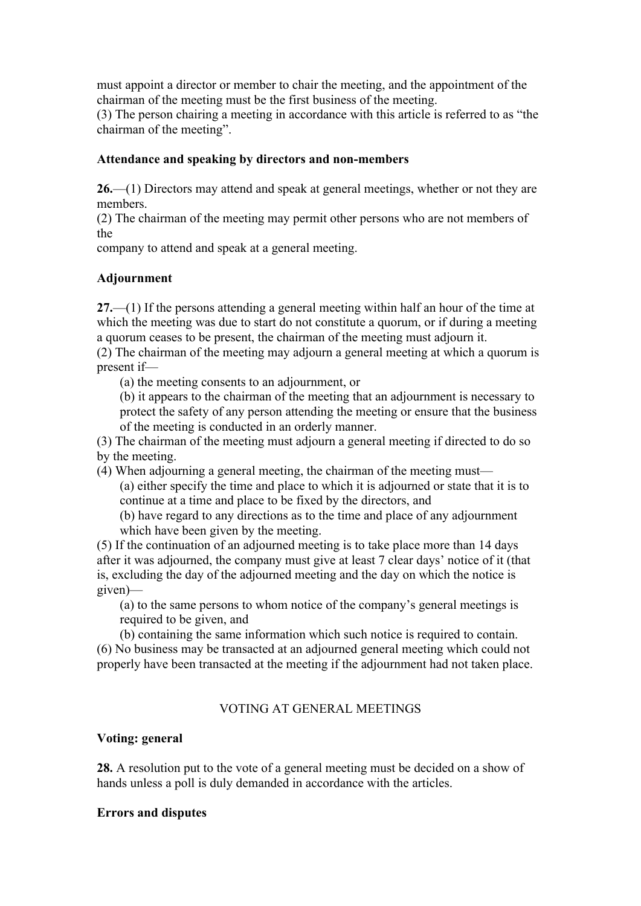must appoint a director or member to chair the meeting, and the appointment of the chairman of the meeting must be the first business of the meeting.

(3) The person chairing a meeting in accordance with this article is referred to as "the chairman of the meeting".

### **Attendance and speaking by directors and non-members**

**26.**—(1) Directors may attend and speak at general meetings, whether or not they are members.

(2) The chairman of the meeting may permit other persons who are not members of the

company to attend and speak at a general meeting.

## **Adjournment**

**27.**—(1) If the persons attending a general meeting within half an hour of the time at which the meeting was due to start do not constitute a quorum, or if during a meeting a quorum ceases to be present, the chairman of the meeting must adjourn it.

(2) The chairman of the meeting may adjourn a general meeting at which a quorum is present if—

(a) the meeting consents to an adjournment, or

(b) it appears to the chairman of the meeting that an adjournment is necessary to protect the safety of any person attending the meeting or ensure that the business of the meeting is conducted in an orderly manner.

(3) The chairman of the meeting must adjourn a general meeting if directed to do so by the meeting.

(4) When adjourning a general meeting, the chairman of the meeting must— (a) either specify the time and place to which it is adjourned or state that it is to continue at a time and place to be fixed by the directors, and

(b) have regard to any directions as to the time and place of any adjournment which have been given by the meeting.

(5) If the continuation of an adjourned meeting is to take place more than 14 days after it was adjourned, the company must give at least 7 clear days' notice of it (that is, excluding the day of the adjourned meeting and the day on which the notice is given)—

(a) to the same persons to whom notice of the company's general meetings is required to be given, and

(b) containing the same information which such notice is required to contain. (6) No business may be transacted at an adjourned general meeting which could not properly have been transacted at the meeting if the adjournment had not taken place.

## VOTING AT GENERAL MEETINGS

#### **Voting: general**

**28.** A resolution put to the vote of a general meeting must be decided on a show of hands unless a poll is duly demanded in accordance with the articles.

#### **Errors and disputes**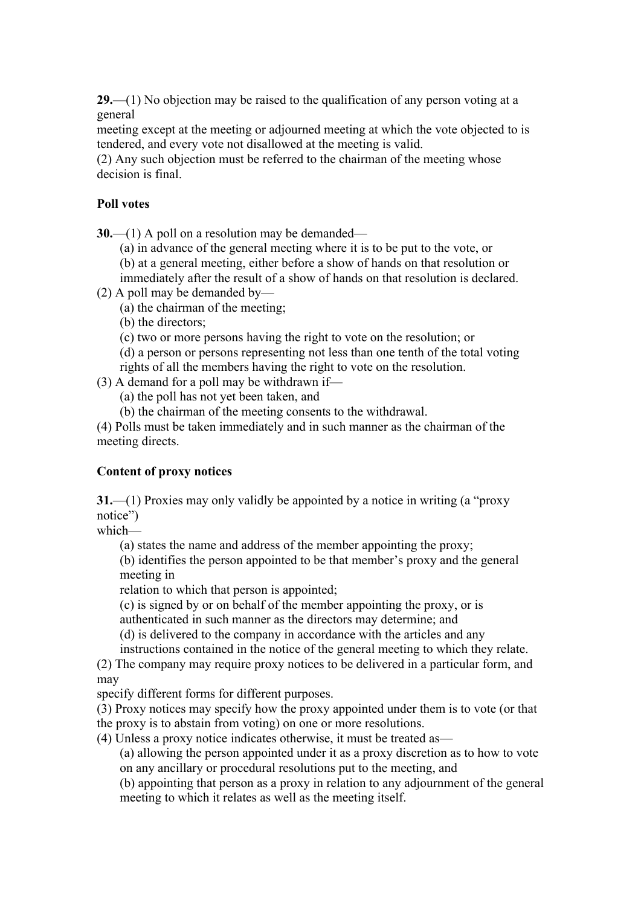**29.**—(1) No objection may be raised to the qualification of any person voting at a general

meeting except at the meeting or adjourned meeting at which the vote objected to is tendered, and every vote not disallowed at the meeting is valid.

(2) Any such objection must be referred to the chairman of the meeting whose decision is final.

#### **Poll votes**

**30.**—(1) A poll on a resolution may be demanded—

(a) in advance of the general meeting where it is to be put to the vote, or (b) at a general meeting, either before a show of hands on that resolution or

immediately after the result of a show of hands on that resolution is declared.

(2) A poll may be demanded by—

(a) the chairman of the meeting;

(b) the directors;

(c) two or more persons having the right to vote on the resolution; or

(d) a person or persons representing not less than one tenth of the total voting rights of all the members having the right to vote on the resolution.

(3) A demand for a poll may be withdrawn if—

(a) the poll has not yet been taken, and

(b) the chairman of the meeting consents to the withdrawal.

(4) Polls must be taken immediately and in such manner as the chairman of the meeting directs.

## **Content of proxy notices**

**31.**—(1) Proxies may only validly be appointed by a notice in writing (a "proxy notice")

which—

(a) states the name and address of the member appointing the proxy;

(b) identifies the person appointed to be that member's proxy and the general meeting in

relation to which that person is appointed;

(c) is signed by or on behalf of the member appointing the proxy, or is

authenticated in such manner as the directors may determine; and

(d) is delivered to the company in accordance with the articles and any instructions contained in the notice of the general meeting to which they relate.

(2) The company may require proxy notices to be delivered in a particular form, and may

specify different forms for different purposes.

(3) Proxy notices may specify how the proxy appointed under them is to vote (or that the proxy is to abstain from voting) on one or more resolutions.

(4) Unless a proxy notice indicates otherwise, it must be treated as—

(a) allowing the person appointed under it as a proxy discretion as to how to vote on any ancillary or procedural resolutions put to the meeting, and

(b) appointing that person as a proxy in relation to any adjournment of the general meeting to which it relates as well as the meeting itself.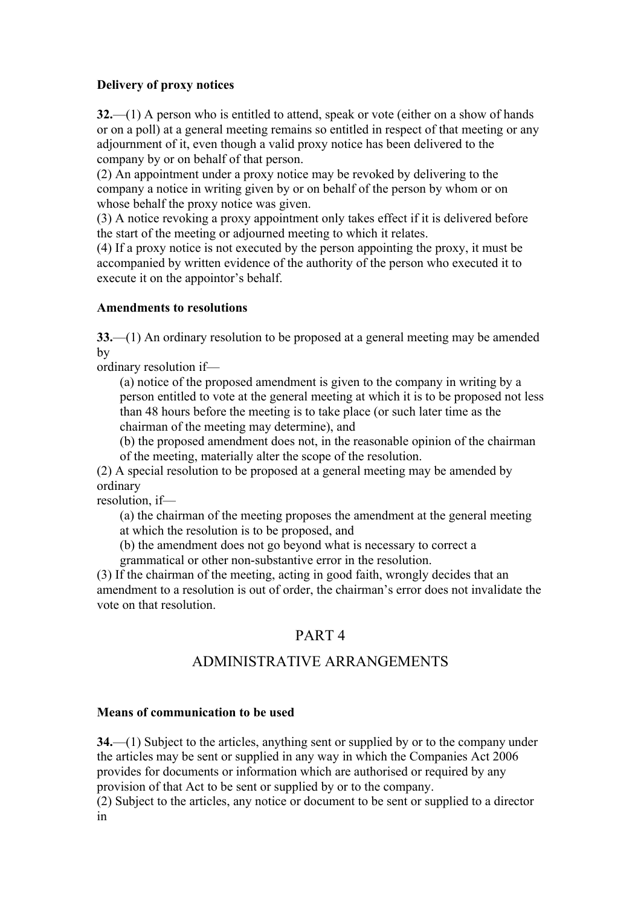## **Delivery of proxy notices**

**32.**—(1) A person who is entitled to attend, speak or vote (either on a show of hands or on a poll) at a general meeting remains so entitled in respect of that meeting or any adjournment of it, even though a valid proxy notice has been delivered to the company by or on behalf of that person.

(2) An appointment under a proxy notice may be revoked by delivering to the company a notice in writing given by or on behalf of the person by whom or on whose behalf the proxy notice was given.

(3) A notice revoking a proxy appointment only takes effect if it is delivered before the start of the meeting or adjourned meeting to which it relates.

(4) If a proxy notice is not executed by the person appointing the proxy, it must be accompanied by written evidence of the authority of the person who executed it to execute it on the appointor's behalf.

#### **Amendments to resolutions**

**33.**—(1) An ordinary resolution to be proposed at a general meeting may be amended by

ordinary resolution if—

(a) notice of the proposed amendment is given to the company in writing by a person entitled to vote at the general meeting at which it is to be proposed not less than 48 hours before the meeting is to take place (or such later time as the chairman of the meeting may determine), and

(b) the proposed amendment does not, in the reasonable opinion of the chairman of the meeting, materially alter the scope of the resolution.

(2) A special resolution to be proposed at a general meeting may be amended by ordinary

resolution, if—

(a) the chairman of the meeting proposes the amendment at the general meeting at which the resolution is to be proposed, and

(b) the amendment does not go beyond what is necessary to correct a

grammatical or other non-substantive error in the resolution.

(3) If the chairman of the meeting, acting in good faith, wrongly decides that an amendment to a resolution is out of order, the chairman's error does not invalidate the vote on that resolution.

## PART 4

# ADMINISTRATIVE ARRANGEMENTS

#### **Means of communication to be used**

**34.**—(1) Subject to the articles, anything sent or supplied by or to the company under the articles may be sent or supplied in any way in which the Companies Act 2006 provides for documents or information which are authorised or required by any provision of that Act to be sent or supplied by or to the company.

(2) Subject to the articles, any notice or document to be sent or supplied to a director in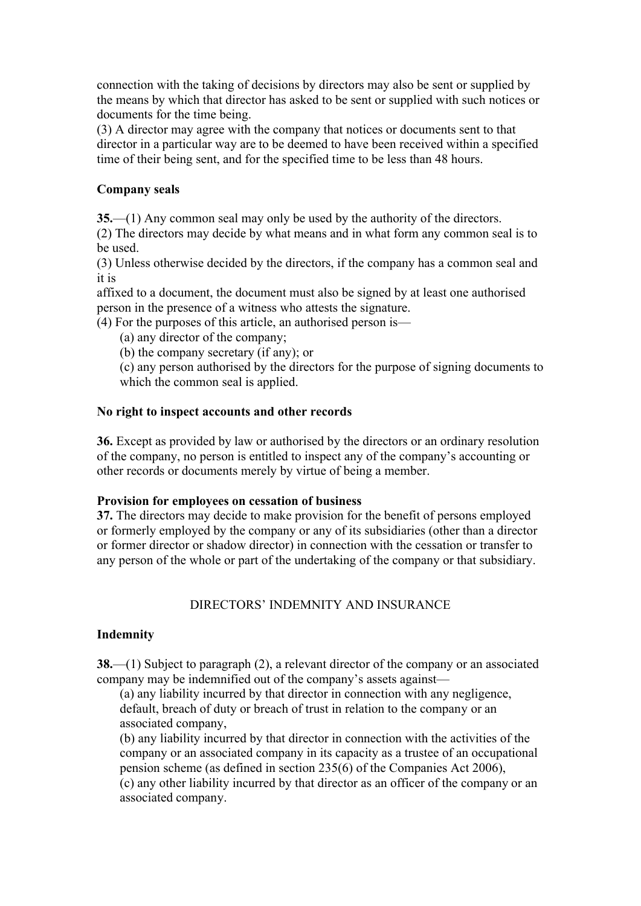connection with the taking of decisions by directors may also be sent or supplied by the means by which that director has asked to be sent or supplied with such notices or documents for the time being.

(3) A director may agree with the company that notices or documents sent to that director in a particular way are to be deemed to have been received within a specified time of their being sent, and for the specified time to be less than 48 hours.

### **Company seals**

**35.**—(1) Any common seal may only be used by the authority of the directors.

(2) The directors may decide by what means and in what form any common seal is to be used.

(3) Unless otherwise decided by the directors, if the company has a common seal and it is

affixed to a document, the document must also be signed by at least one authorised person in the presence of a witness who attests the signature.

(4) For the purposes of this article, an authorised person is—

(a) any director of the company;

(b) the company secretary (if any); or

(c) any person authorised by the directors for the purpose of signing documents to which the common seal is applied.

#### **No right to inspect accounts and other records**

**36.** Except as provided by law or authorised by the directors or an ordinary resolution of the company, no person is entitled to inspect any of the company's accounting or other records or documents merely by virtue of being a member.

#### **Provision for employees on cessation of business**

**37.** The directors may decide to make provision for the benefit of persons employed or formerly employed by the company or any of its subsidiaries (other than a director or former director or shadow director) in connection with the cessation or transfer to any person of the whole or part of the undertaking of the company or that subsidiary.

## DIRECTORS' INDEMNITY AND INSURANCE

## **Indemnity**

**38.**—(1) Subject to paragraph (2), a relevant director of the company or an associated company may be indemnified out of the company's assets against—

(a) any liability incurred by that director in connection with any negligence, default, breach of duty or breach of trust in relation to the company or an associated company,

(b) any liability incurred by that director in connection with the activities of the company or an associated company in its capacity as a trustee of an occupational pension scheme (as defined in section 235(6) of the Companies Act 2006),

(c) any other liability incurred by that director as an officer of the company or an associated company.